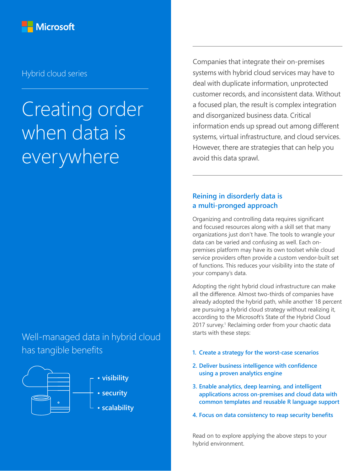

# Hybrid cloud series

# Creating order when data is everywhere

Well-managed data in hybrid cloud has tangible benefits



Companies that integrate their on-premises systems with hybrid cloud services may have to deal with duplicate information, unprotected customer records, and inconsistent data. Without a focused plan, the result is complex integration and disorganized business data. Critical information ends up spread out among different systems, virtual infrastructure, and cloud services. However, there are strategies that can help you avoid this data sprawl.

## **Reining in disorderly data is a multi-pronged approach**

Organizing and controlling data requires significant and focused resources along with a skill set that many organizations just don't have. The tools to wrangle your data can be varied and confusing as well. Each onpremises platform may have its own toolset while cloud service providers often provide a custom vendor-built set of functions. This reduces your visibility into the state of your company's data.

Adopting the right hybrid cloud infrastructure can make all the difference. Almost two-thirds of companies have already adopted the hybrid path, while another 18 percent are pursuing a hybrid cloud strategy without realizing it, according to the Microsoft's State of the Hybrid Cloud 2017 survey.<sup>1</sup> Reclaiming order from your chaotic data starts with these steps:

- **1. Create a strategy for the worst-case scenarios**
- **2. Deliver business intelligence with confidence using a proven analytics engine**
- **3. Enable analytics, deep learning, and intelligent applications across on-premises and cloud data with common templates and reusable R language support**
- **4. Focus on data consistency to reap security benefits**

Read on to explore applying the above steps to your hybrid environment.